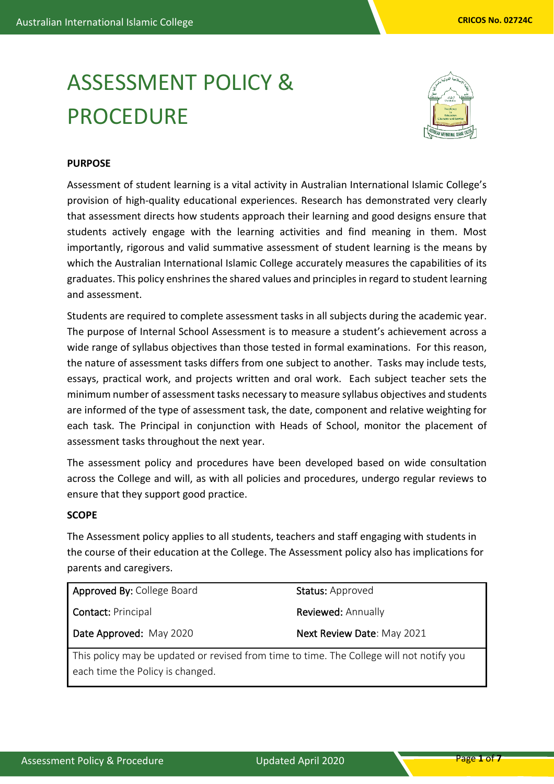# ASSESSMENT POLICY & PROCEDURE



## **PURPOSE**

Assessment of student learning is a vital activity in Australian International Islamic College's provision of high-quality educational experiences. Research has demonstrated very clearly that assessment directs how students approach their learning and good designs ensure that students actively engage with the learning activities and find meaning in them. Most importantly, rigorous and valid summative assessment of student learning is the means by which the Australian International Islamic College accurately measures the capabilities of its graduates. This policy enshrines the shared values and principles in regard to student learning and assessment.

Students are required to complete assessment tasks in all subjects during the academic year. The purpose of Internal School Assessment is to measure a student's achievement across a wide range of syllabus objectives than those tested in formal examinations. For this reason, the nature of assessment tasks differs from one subject to another. Tasks may include tests, essays, practical work, and projects written and oral work. Each subject teacher sets the minimum number of assessment tasks necessary to measure syllabus objectives and students are informed of the type of assessment task, the date, component and relative weighting for each task. The Principal in conjunction with Heads of School, monitor the placement of assessment tasks throughout the next year.

The assessment policy and procedures have been developed based on wide consultation across the College and will, as with all policies and procedures, undergo regular reviews to ensure that they support good practice.

## **SCOPE**

The Assessment policy applies to all students, teachers and staff engaging with students in the course of their education at the College. The Assessment policy also has implications for parents and caregivers.

| Approved By: College Board                                                               | Status: Approved           |
|------------------------------------------------------------------------------------------|----------------------------|
| <b>Contact: Principal</b>                                                                | <b>Reviewed: Annually</b>  |
| Date Approved: May 2020                                                                  | Next Review Date: May 2021 |
| This policy may be updated or revised from time to time. The College will not notify you |                            |
| each time the Policy is changed.                                                         |                            |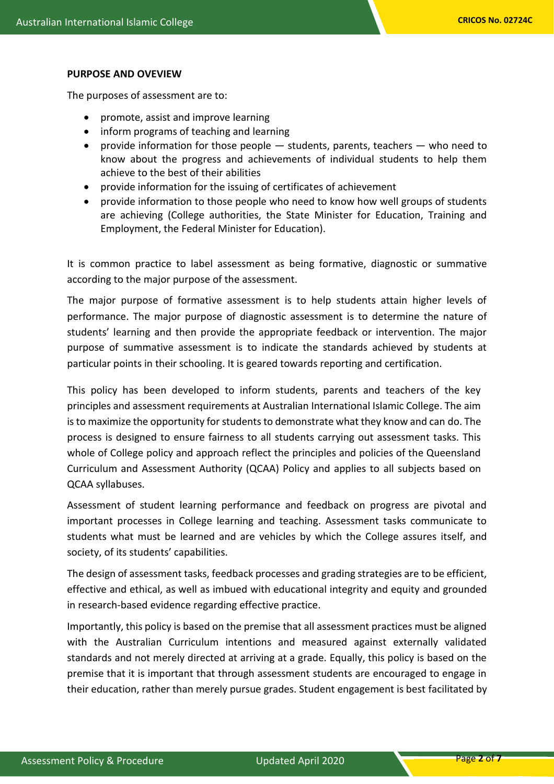## **PURPOSE AND OVEVIEW**

The purposes of assessment are to:

- promote, assist and improve learning
- inform programs of teaching and learning
- provide information for those people students, parents, teachers who need to know about the progress and achievements of individual students to help them achieve to the best of their abilities
- provide information for the issuing of certificates of achievement
- provide information to those people who need to know how well groups of students are achieving (College authorities, the State Minister for Education, Training and Employment, the Federal Minister for Education).

It is common practice to label assessment as being formative, diagnostic or summative according to the major purpose of the assessment.

The major purpose of formative assessment is to help students attain higher levels of performance. The major purpose of diagnostic assessment is to determine the nature of students' learning and then provide the appropriate feedback or intervention. The major purpose of summative assessment is to indicate the standards achieved by students at particular points in their schooling. It is geared towards reporting and certification.

This policy has been developed to inform students, parents and teachers of the key principles and assessment requirements at Australian International Islamic College. The aim is to maximize the opportunity for students to demonstrate what they know and can do. The process is designed to ensure fairness to all students carrying out assessment tasks. This whole of College policy and approach reflect the principles and policies of the Queensland Curriculum and Assessment Authority (QCAA) Policy and applies to all subjects based on QCAA syllabuses.

Assessment of student learning performance and feedback on progress are pivotal and important processes in College learning and teaching. Assessment tasks communicate to students what must be learned and are vehicles by which the College assures itself, and society, of its students' capabilities.

The design of assessment tasks, feedback processes and grading strategies are to be efficient, effective and ethical, as well as imbued with educational integrity and equity and grounded in research-based evidence regarding effective practice.

Importantly, this policy is based on the premise that all assessment practices must be aligned with the Australian Curriculum intentions and measured against externally validated standards and not merely directed at arriving at a grade. Equally, this policy is based on the premise that it is important that through assessment students are encouraged to engage in their education, rather than merely pursue grades. Student engagement is best facilitated by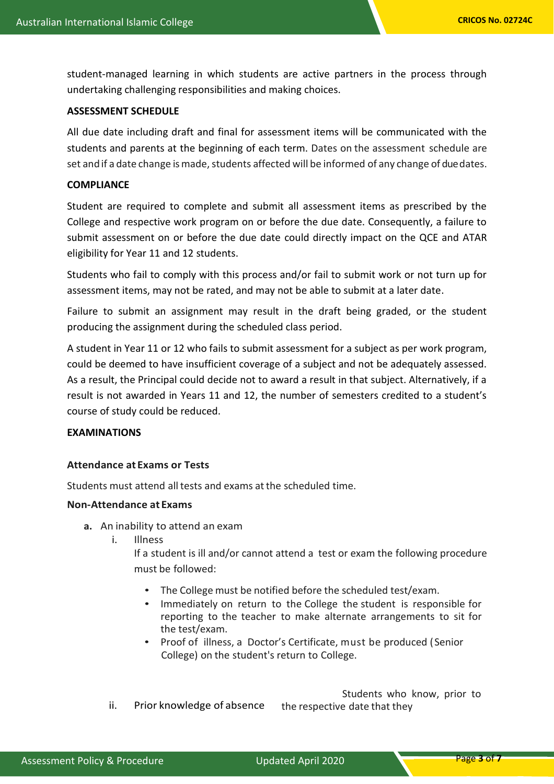student-managed learning in which students are active partners in the process through undertaking challenging responsibilities and making choices.

## **ASSESSMENT SCHEDULE**

All due date including draft and final for assessment items will be communicated with the students and parents at the beginning of each term. Dates on the assessment schedule are set andif a date change is made, students affected will be informed of any change of due dates.

#### **COMPLIANCE**

Student are required to complete and submit all assessment items as prescribed by the College and respective work program on or before the due date. Consequently, a failure to submit assessment on or before the due date could directly impact on the QCE and ATAR eligibility for Year 11 and 12 students.

Students who fail to comply with this process and/or fail to submit work or not turn up for assessment items, may not be rated, and may not be able to submit at a later date.

Failure to submit an assignment may result in the draft being graded, or the student producing the assignment during the scheduled class period.

A student in Year 11 or 12 who fails to submit assessment for a subject as per work program, could be deemed to have insufficient coverage of a subject and not be adequately assessed. As a result, the Principal could decide not to award a result in that subject. Alternatively, if a result is not awarded in Years 11 and 12, the number of semesters credited to a student's course of study could be reduced.

## **EXAMINATIONS**

## **Attendance at Exams or Tests**

Students must attend all tests and exams atthe scheduled time.

## **Non-Attendance at Exams**

- **a.** An inability to attend an exam
	- i. Illness
		- If a student is ill and/or cannot attend a test or exam the following procedure must be followed:
			- The College must be notified before the scheduled test/exam.
			- Immediately on return to the College the student is responsible for reporting to the teacher to make alternate arrangements to sit for the test/exam.
			- Proof of illness, a Doctor's Certificate, must be produced (Senior College) on the student's return to College.

 Students who know, prior to ii. Prior knowledge of absence the respective date that they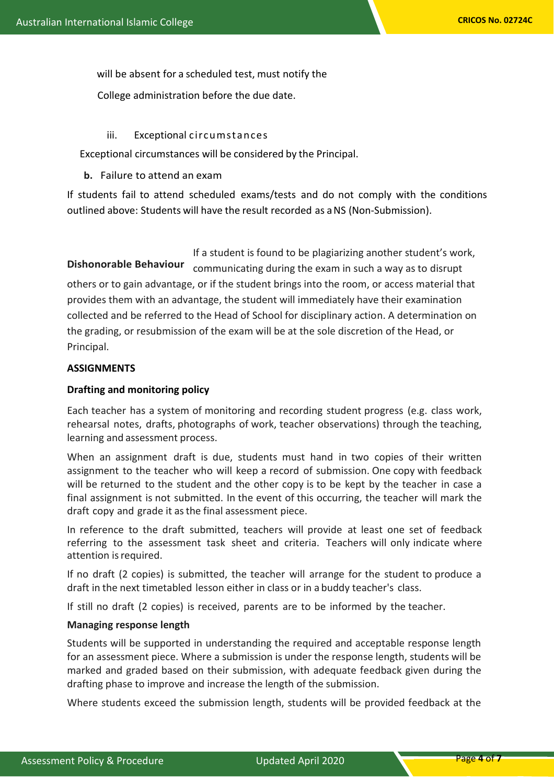will be absent for a scheduled test, must notify the

College administration before the due date.

## iii. Exceptional circumstances

Exceptional circumstances will be considered by the Principal.

# **b.** Failure to attend an exam

If students fail to attend scheduled exams/tests and do not comply with the conditions outlined above: Students will have the result recorded as aNS (Non-Submission).

If a student is found to be plagiarizing another student's work, communicating during the exam in such a way as to disrupt others or to gain advantage, or if the student brings into the room, or access material that provides them with an advantage, the student will immediately have their examination collected and be referred to the Head of School for disciplinary action. A determination on the grading, or resubmission of the exam will be at the sole discretion of the Head, or Principal. **Dishonorable Behaviour**

# **ASSIGNMENTS**

# **Drafting and monitoring policy**

Each teacher has a system of monitoring and recording student progress (e.g. class work, rehearsal notes, drafts, photographs of work, teacher observations) through the teaching, learning and assessment process.

When an assignment draft is due, students must hand in two copies of their written assignment to the teacher who will keep a record of submission. One copy with feedback will be returned to the student and the other copy is to be kept by the teacher in case a final assignment is not submitted. In the event of this occurring, the teacher will mark the draft copy and grade it asthe final assessment piece.

In reference to the draft submitted, teachers will provide at least one set of feedback referring to the assessment task sheet and criteria. Teachers will only indicate where attention is required.

If no draft (2 copies) is submitted, the teacher will arrange for the student to produce a draft in the next timetabled lesson either in class or in a buddy teacher's class.

If still no draft (2 copies) is received, parents are to be informed by the teacher.

## **Managing response length**

Students will be supported in understanding the required and acceptable response length for an assessment piece. Where a submission is under the response length, students will be marked and graded based on their submission, with adequate feedback given during the drafting phase to improve and increase the length of the submission.

Where students exceed the submission length, students will be provided feedback at the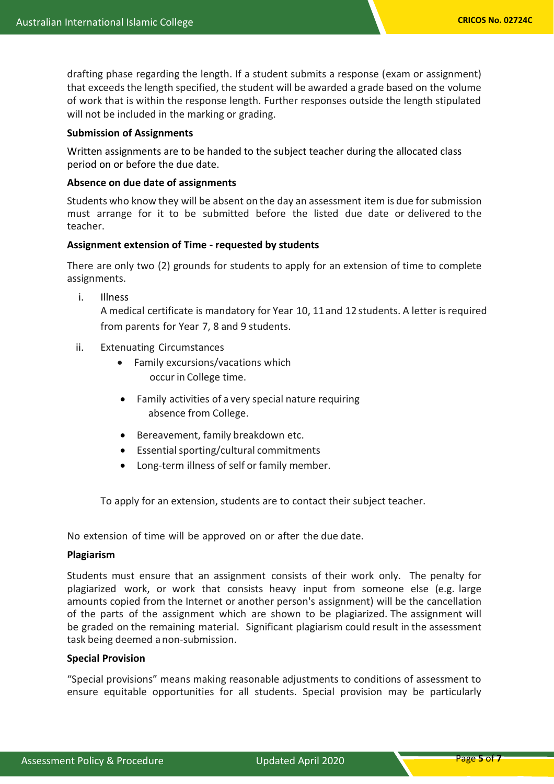drafting phase regarding the length. If a student submits a response (exam or assignment) that exceeds the length specified, the student will be awarded a grade based on the volume of work that is within the response length. Further responses outside the length stipulated will not be included in the marking or grading.

#### **Submission of Assignments**

Written assignments are to be handed to the subject teacher during the allocated class period on or before the due date.

#### **Absence on due date of assignments**

Students who know they will be absent on the day an assessment item is due for submission must arrange for it to be submitted before the listed due date or delivered to the teacher.

#### **Assignment extension of Time - requested by students**

There are only two (2) grounds for students to apply for an extension of time to complete assignments.

i. Illness

A medical certificate is mandatory for Year 10, 11and 12 students. A letter isrequired from parents for Year 7, 8 and 9 students.

- ii. Extenuating Circumstances
	- Family excursions/vacations which occur in College time.
	- Family activities of a very special nature requiring absence from College.
	- Bereavement, family breakdown etc.
	- Essential sporting/cultural commitments
	- Long-term illness of self or family member.

To apply for an extension, students are to contact their subject teacher.

No extension of time will be approved on or after the due date.

#### **Plagiarism**

Students must ensure that an assignment consists of their work only. The penalty for plagiarized work, or work that consists heavy input from someone else (e.g. large amounts copied from the Internet or another person's assignment) will be the cancellation of the parts of the assignment which are shown to be plagiarized. The assignment will be graded on the remaining material. Significant plagiarism could result in the assessment task being deemed anon-submission.

## **Special Provision**

"Special provisions" means making reasonable adjustments to conditions of assessment to ensure equitable opportunities for all students. Special provision may be particularly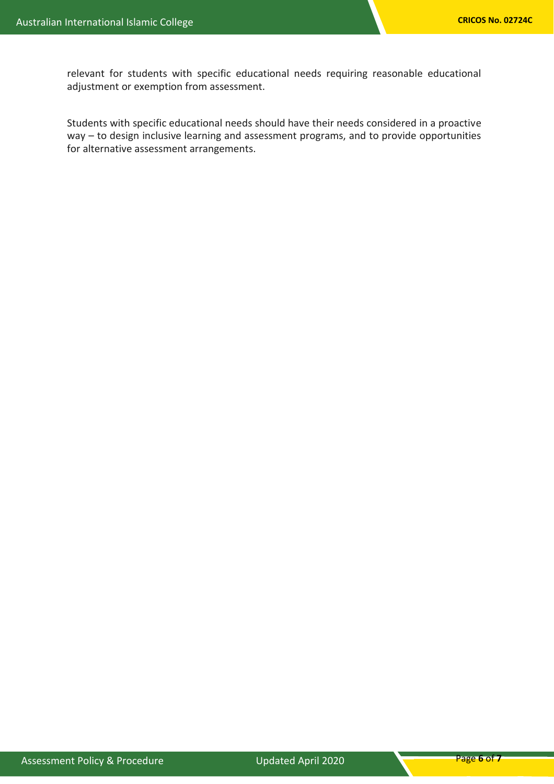relevant for students with specific educational needs requiring reasonable educational adjustment or exemption from assessment.

Students with specific educational needs should have their needs considered in a proactive way – to design inclusive learning and assessment programs, and to provide opportunities for alternative assessment arrangements.